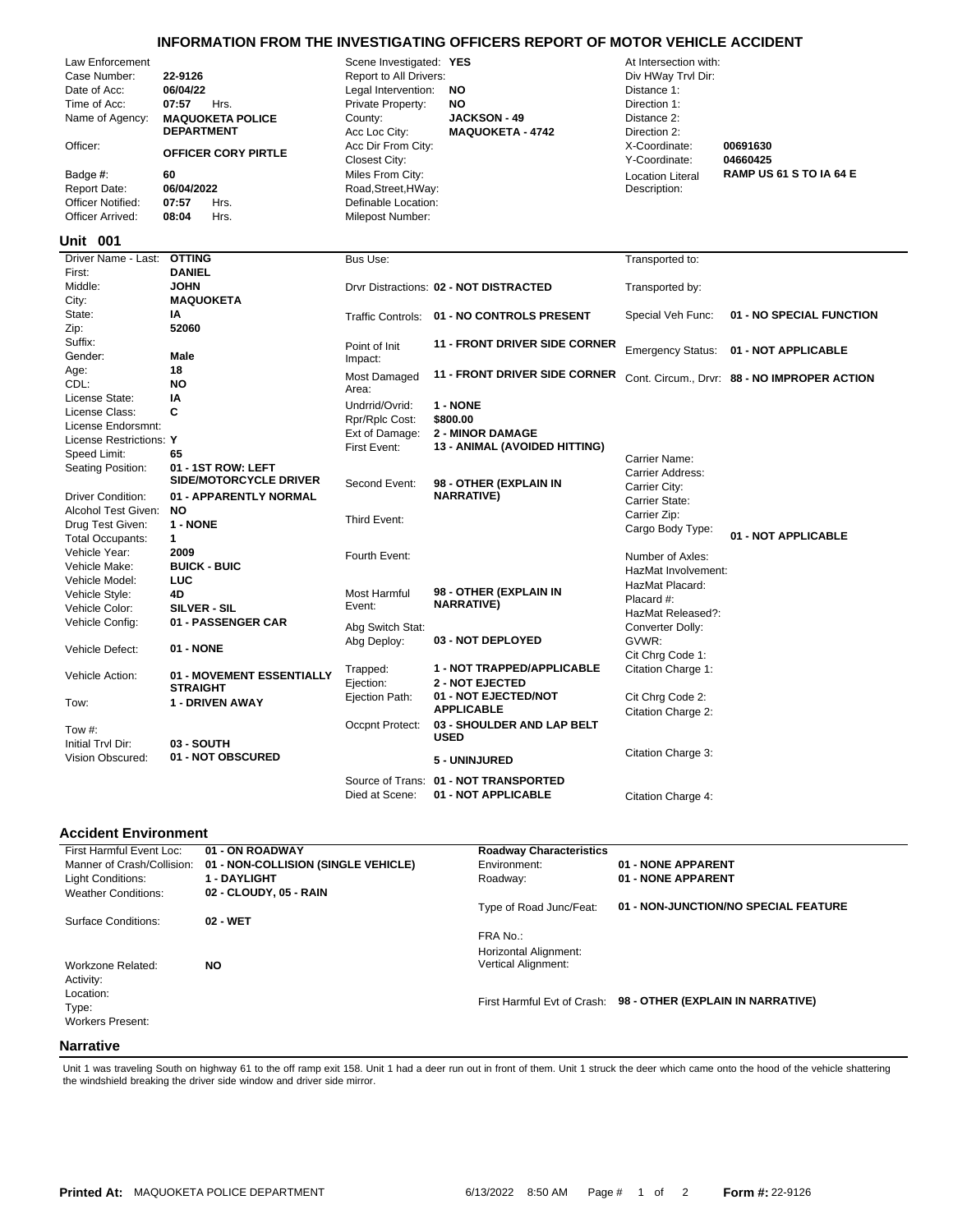## **INFORMATION FROM THE INVESTIGATING OFFICERS REPORT OF MOTOR VEHICLE ACCIDENT**

| Law Enforcement<br>Case Number:<br>Date of Acc:<br>Time of Acc:<br>Name of Agency:<br>Officer:<br>Badge #:<br><b>Report Date:</b><br>Officer Notified:<br>Officer Arrived:<br>Unit 001 | 22-9126<br>06/04/22<br>07:57<br>Hrs.<br><b>MAQUOKETA POLICE</b><br><b>DEPARTMENT</b><br><b>OFFICER CORY PIRTLE</b><br>60<br>06/04/2022<br>07:57<br>Hrs.<br>08:04<br>Hrs. | Scene Investigated: YES<br>Report to All Drivers:<br>Legal Intervention:<br>Private Property:<br>County:<br>Acc Loc City:<br>Acc Dir From City:<br>Closest City:<br>Miles From City:<br>Road, Street, HWay:<br>Definable Location:<br>Milepost Number: | NO<br><b>NO</b><br><b>JACKSON - 49</b><br><b>MAQUOKETA - 4742</b> | At Intersection with:<br>Div HWay Trvl Dir:<br>Distance 1:<br>Direction 1:<br>Distance 2:<br>Direction 2:<br>X-Coordinate:<br>Y-Coordinate:<br><b>Location Literal</b><br>Description: | 00691630<br>04660425<br><b>RAMP US 61 S TO IA 64 E</b> |
|----------------------------------------------------------------------------------------------------------------------------------------------------------------------------------------|--------------------------------------------------------------------------------------------------------------------------------------------------------------------------|--------------------------------------------------------------------------------------------------------------------------------------------------------------------------------------------------------------------------------------------------------|-------------------------------------------------------------------|----------------------------------------------------------------------------------------------------------------------------------------------------------------------------------------|--------------------------------------------------------|
| Driver Name - Last:                                                                                                                                                                    | <b>OTTING</b>                                                                                                                                                            | Bus Use:                                                                                                                                                                                                                                               |                                                                   | Transported to:                                                                                                                                                                        |                                                        |
| First:                                                                                                                                                                                 | <b>DANIEL</b>                                                                                                                                                            |                                                                                                                                                                                                                                                        |                                                                   |                                                                                                                                                                                        |                                                        |
| Middle:                                                                                                                                                                                | <b>JOHN</b>                                                                                                                                                              |                                                                                                                                                                                                                                                        | Drvr Distractions: 02 - NOT DISTRACTED                            | Transported by:                                                                                                                                                                        |                                                        |
| City:                                                                                                                                                                                  | <b>MAQUOKETA</b>                                                                                                                                                         |                                                                                                                                                                                                                                                        |                                                                   |                                                                                                                                                                                        |                                                        |
| State:                                                                                                                                                                                 | IA                                                                                                                                                                       |                                                                                                                                                                                                                                                        | Traffic Controls: 01 - NO CONTROLS PRESENT                        | Special Veh Func:                                                                                                                                                                      | 01 - NO SPECIAL FUNCTION                               |
| Zip:                                                                                                                                                                                   | 52060                                                                                                                                                                    |                                                                                                                                                                                                                                                        |                                                                   |                                                                                                                                                                                        |                                                        |
| Suffix:                                                                                                                                                                                |                                                                                                                                                                          | Point of Init                                                                                                                                                                                                                                          | <b>11 - FRONT DRIVER SIDE CORNER</b>                              | <b>Emergency Status:</b>                                                                                                                                                               | 01 - NOT APPLICABLE                                    |
| Gender:                                                                                                                                                                                | <b>Male</b>                                                                                                                                                              | Impact:                                                                                                                                                                                                                                                |                                                                   |                                                                                                                                                                                        |                                                        |
| Age:                                                                                                                                                                                   | 18                                                                                                                                                                       | Most Damaged                                                                                                                                                                                                                                           | <b>11 - FRONT DRIVER SIDE CORNER</b>                              |                                                                                                                                                                                        | Cont. Circum., Drvr: 88 - NO IMPROPER ACTION           |
| CDL:                                                                                                                                                                                   | <b>NO</b>                                                                                                                                                                | Area:                                                                                                                                                                                                                                                  |                                                                   |                                                                                                                                                                                        |                                                        |
| License State:                                                                                                                                                                         | IA                                                                                                                                                                       | Undrrid/Ovrid:                                                                                                                                                                                                                                         | 1 - NONE                                                          |                                                                                                                                                                                        |                                                        |
| License Class:                                                                                                                                                                         | C                                                                                                                                                                        | Rpr/Rplc Cost:                                                                                                                                                                                                                                         | \$800.00                                                          |                                                                                                                                                                                        |                                                        |
| License Endorsmnt:                                                                                                                                                                     |                                                                                                                                                                          | Ext of Damage:                                                                                                                                                                                                                                         | <b>2 - MINOR DAMAGE</b>                                           |                                                                                                                                                                                        |                                                        |
| License Restrictions: Y                                                                                                                                                                |                                                                                                                                                                          | First Event:                                                                                                                                                                                                                                           | 13 - ANIMAL (AVOIDED HITTING)                                     |                                                                                                                                                                                        |                                                        |
| Speed Limit:                                                                                                                                                                           | 65                                                                                                                                                                       |                                                                                                                                                                                                                                                        |                                                                   | Carrier Name:                                                                                                                                                                          |                                                        |
| Seating Position:                                                                                                                                                                      | 01 - 1ST ROW: LEFT                                                                                                                                                       |                                                                                                                                                                                                                                                        |                                                                   | Carrier Address:                                                                                                                                                                       |                                                        |
|                                                                                                                                                                                        | SIDE/MOTORCYCLE DRIVER                                                                                                                                                   | Second Event:                                                                                                                                                                                                                                          | 98 - OTHER (EXPLAIN IN                                            | Carrier City:                                                                                                                                                                          |                                                        |
| <b>Driver Condition:</b>                                                                                                                                                               | 01 - APPARENTLY NORMAL                                                                                                                                                   |                                                                                                                                                                                                                                                        | <b>NARRATIVE)</b>                                                 | Carrier State:                                                                                                                                                                         |                                                        |
| Alcohol Test Given:                                                                                                                                                                    | <b>NO</b>                                                                                                                                                                | Third Event:                                                                                                                                                                                                                                           |                                                                   | Carrier Zip:                                                                                                                                                                           |                                                        |
| Drug Test Given:                                                                                                                                                                       | 1 - NONE                                                                                                                                                                 |                                                                                                                                                                                                                                                        |                                                                   | Cargo Body Type:                                                                                                                                                                       |                                                        |
| <b>Total Occupants:</b>                                                                                                                                                                | $\mathbf{1}$                                                                                                                                                             |                                                                                                                                                                                                                                                        |                                                                   |                                                                                                                                                                                        | 01 - NOT APPLICABLE                                    |
| Vehicle Year:                                                                                                                                                                          | 2009                                                                                                                                                                     | Fourth Event:                                                                                                                                                                                                                                          |                                                                   | Number of Axles:                                                                                                                                                                       |                                                        |
| Vehicle Make:                                                                                                                                                                          | <b>BUICK - BUIC</b>                                                                                                                                                      |                                                                                                                                                                                                                                                        |                                                                   | HazMat Involvement:                                                                                                                                                                    |                                                        |
| Vehicle Model:                                                                                                                                                                         | <b>LUC</b>                                                                                                                                                               |                                                                                                                                                                                                                                                        |                                                                   | HazMat Placard:                                                                                                                                                                        |                                                        |
| Vehicle Style:                                                                                                                                                                         | 4D                                                                                                                                                                       | Most Harmful                                                                                                                                                                                                                                           | 98 - OTHER (EXPLAIN IN<br><b>NARRATIVE)</b>                       | Placard #:                                                                                                                                                                             |                                                        |
| Vehicle Color:                                                                                                                                                                         | SILVER - SIL                                                                                                                                                             | Event:                                                                                                                                                                                                                                                 |                                                                   | HazMat Released?:                                                                                                                                                                      |                                                        |
| Vehicle Config:                                                                                                                                                                        | 01 - PASSENGER CAR                                                                                                                                                       | Abg Switch Stat:                                                                                                                                                                                                                                       |                                                                   | Converter Dolly:                                                                                                                                                                       |                                                        |
|                                                                                                                                                                                        |                                                                                                                                                                          | Abg Deploy:                                                                                                                                                                                                                                            | 03 - NOT DEPLOYED                                                 | GVWR:                                                                                                                                                                                  |                                                        |
| Vehicle Defect:                                                                                                                                                                        | <b>01 - NONE</b>                                                                                                                                                         |                                                                                                                                                                                                                                                        |                                                                   | Cit Chrg Code 1:                                                                                                                                                                       |                                                        |
|                                                                                                                                                                                        |                                                                                                                                                                          | Trapped:                                                                                                                                                                                                                                               | 1 - NOT TRAPPED/APPLICABLE                                        | Citation Charge 1:                                                                                                                                                                     |                                                        |
| Vehicle Action:                                                                                                                                                                        | 01 - MOVEMENT ESSENTIALLY<br><b>STRAIGHT</b>                                                                                                                             | Ejection:                                                                                                                                                                                                                                              | <b>2 - NOT EJECTED</b>                                            |                                                                                                                                                                                        |                                                        |
|                                                                                                                                                                                        | 1 - DRIVEN AWAY                                                                                                                                                          | Ejection Path:                                                                                                                                                                                                                                         | 01 - NOT EJECTED/NOT                                              | Cit Chrg Code 2:                                                                                                                                                                       |                                                        |
| Tow:                                                                                                                                                                                   |                                                                                                                                                                          |                                                                                                                                                                                                                                                        | <b>APPLICABLE</b>                                                 | Citation Charge 2:                                                                                                                                                                     |                                                        |
| Tow #:                                                                                                                                                                                 |                                                                                                                                                                          | Occpnt Protect:                                                                                                                                                                                                                                        | 03 - SHOULDER AND LAP BELT                                        |                                                                                                                                                                                        |                                                        |
| Initial Tryl Dir:                                                                                                                                                                      | 03 - SOUTH                                                                                                                                                               |                                                                                                                                                                                                                                                        | <b>USED</b>                                                       |                                                                                                                                                                                        |                                                        |
| Vision Obscured:                                                                                                                                                                       | 01 - NOT OBSCURED                                                                                                                                                        |                                                                                                                                                                                                                                                        |                                                                   | Citation Charge 3:                                                                                                                                                                     |                                                        |
|                                                                                                                                                                                        |                                                                                                                                                                          |                                                                                                                                                                                                                                                        | 5 - UNINJURED                                                     |                                                                                                                                                                                        |                                                        |
|                                                                                                                                                                                        |                                                                                                                                                                          |                                                                                                                                                                                                                                                        | Source of Trans: 01 - NOT TRANSPORTED                             |                                                                                                                                                                                        |                                                        |

## **Accident Environment**

| First Harmful Event Loc:   | 01 - ON ROADWAY                     | <b>Roadway Characteristics</b> |                                      |
|----------------------------|-------------------------------------|--------------------------------|--------------------------------------|
| Manner of Crash/Collision: | 01 - NON-COLLISION (SINGLE VEHICLE) | Environment:                   | 01 - NONE APPARENT                   |
| Light Conditions:          | 1 - DAYLIGHT                        | Roadway:                       | 01 - NONE APPARENT                   |
| <b>Weather Conditions:</b> | 02 - CLOUDY, 05 - RAIN              |                                |                                      |
|                            |                                     | Type of Road Junc/Feat:        | 01 - NON-JUNCTION/NO SPECIAL FEATURE |
| Surface Conditions:        | 02 - WET                            |                                |                                      |
|                            |                                     | FRA No.:                       |                                      |
|                            |                                     | Horizontal Alignment:          |                                      |
| Workzone Related:          | NO.                                 | Vertical Alignment:            |                                      |
| Activity:                  |                                     |                                |                                      |
| Location:                  |                                     |                                |                                      |
| Type:                      |                                     | First Harmful Evt of Crash:    | 98 - OTHER (EXPLAIN IN NARRATIVE)    |
| <b>Workers Present:</b>    |                                     |                                |                                      |
|                            |                                     |                                |                                      |
| <b>Narrative</b>           |                                     |                                |                                      |

Died at Scene: **01 - NOT APPLICABLE** Citation Charge 4:

Unit 1 was traveling South on highway 61 to the off ramp exit 158. Unit 1 had a deer run out in front of them. Unit 1 struck the deer which came onto the hood of the vehicle shattering<br>the windshield breaking the driver si